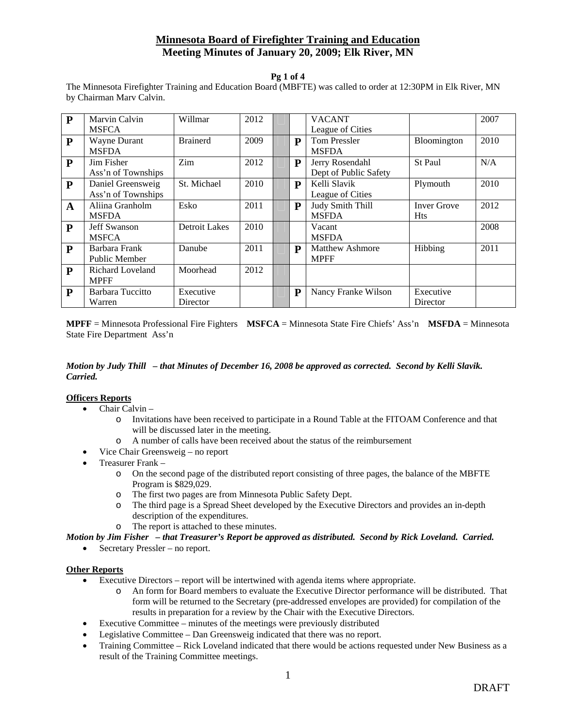#### **Pg 1 of 4**

The Minnesota Firefighter Training and Education Board (MBFTE) was called to order at 12:30PM in Elk River, MN by Chairman Marv Calvin.

| $\mathbf{P}$ | Marvin Calvin           | Willmar              | 2012 |              | <b>VACANT</b>          |                    | 2007 |
|--------------|-------------------------|----------------------|------|--------------|------------------------|--------------------|------|
|              | <b>MSFCA</b>            |                      |      |              | League of Cities       |                    |      |
| $\mathbf{P}$ | Wayne Durant            | <b>Brainerd</b>      | 2009 | $\mathbf{P}$ | <b>Tom Pressler</b>    | Bloomington        | 2010 |
|              | <b>MSFDA</b>            |                      |      |              | <b>MSFDA</b>           |                    |      |
| P            | Jim Fisher              | Zim                  | 2012 | ${\bf P}$    | Jerry Rosendahl        | St Paul            | N/A  |
|              | Ass'n of Townships      |                      |      |              | Dept of Public Safety  |                    |      |
| $\mathbf{P}$ | Daniel Greensweig       | St. Michael          | 2010 | P            | Kelli Slavik           | Plymouth           | 2010 |
|              | Ass'n of Townships      |                      |      |              | League of Cities       |                    |      |
| $\mathbf{A}$ | Aliina Granholm         | Esko                 | 2011 | $\mathbf{P}$ | Judy Smith Thill       | <b>Inver Grove</b> | 2012 |
|              | <b>MSFDA</b>            |                      |      |              | <b>MSFDA</b>           | <b>Hts</b>         |      |
| $\mathbf{P}$ | Jeff Swanson            | <b>Detroit Lakes</b> | 2010 |              | Vacant                 |                    | 2008 |
|              | <b>MSFCA</b>            |                      |      |              | <b>MSFDA</b>           |                    |      |
| P            | Barbara Frank           | Danube               | 2011 | P            | <b>Matthew Ashmore</b> | Hibbing            | 2011 |
|              | Public Member           |                      |      |              | <b>MPFF</b>            |                    |      |
| $\mathbf{P}$ | <b>Richard Loveland</b> | Moorhead             | 2012 |              |                        |                    |      |
|              | <b>MPFF</b>             |                      |      |              |                        |                    |      |
| P            | Barbara Tuccitto        | Executive            |      | ${\bf P}$    | Nancy Franke Wilson    | Executive          |      |
|              | Warren                  | Director             |      |              |                        | Director           |      |

**MPFF** = Minnesota Professional Fire Fighters **MSFCA** = Minnesota State Fire Chiefs' Ass'n **MSFDA** = Minnesota State Fire Department Ass'n

### *Motion by Judy Thill – that Minutes of December 16, 2008 be approved as corrected. Second by Kelli Slavik. Carried.*

### **Officers Reports**

- Chair Calvin
	- o Invitations have been received to participate in a Round Table at the FITOAM Conference and that will be discussed later in the meeting.
	- o A number of calls have been received about the status of the reimbursement
- Vice Chair Greensweig no report
- Treasurer Frank
	- o On the second page of the distributed report consisting of three pages, the balance of the MBFTE Program is \$829,029.
	- o The first two pages are from Minnesota Public Safety Dept.
	- o The third page is a Spread Sheet developed by the Executive Directors and provides an in-depth description of the expenditures.
	- o The report is attached to these minutes.

*Motion by Jim Fisher – that Treasurer's Report be approved as distributed. Second by Rick Loveland. Carried.*

• Secretary Pressler – no report.

### **Other Reports**

- Executive Directors report will be intertwined with agenda items where appropriate.
	- o An form for Board members to evaluate the Executive Director performance will be distributed. That form will be returned to the Secretary (pre-addressed envelopes are provided) for compilation of the results in preparation for a review by the Chair with the Executive Directors.
- Executive Committee minutes of the meetings were previously distributed
- Legislative Committee Dan Greensweig indicated that there was no report.
- Training Committee Rick Loveland indicated that there would be actions requested under New Business as a result of the Training Committee meetings.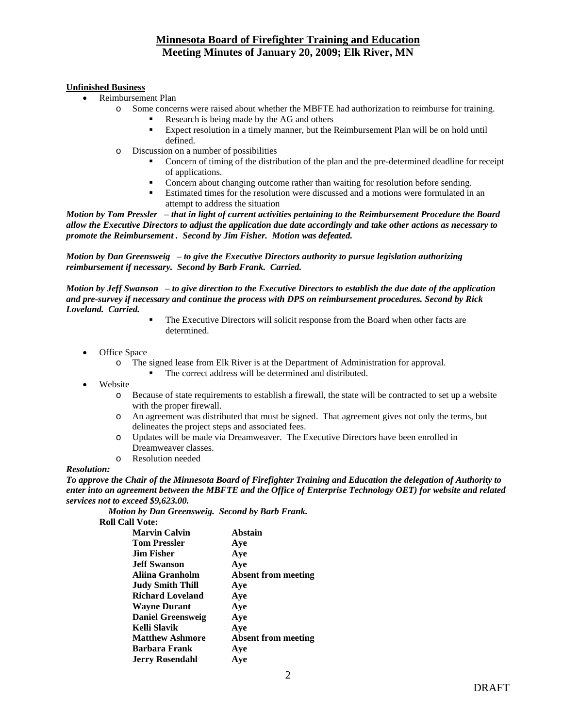### **Unfinished Business**

- Reimbursement Plan
	- o Some concerns were raised about whether the MBFTE had authorization to reimburse for training.
		- Research is being made by the AG and others
		- Expect resolution in a timely manner, but the Reimbursement Plan will be on hold until defined.
	- o Discussion on a number of possibilities
		- Concern of timing of the distribution of the plan and the pre-determined deadline for receipt of applications.
		- Concern about changing outcome rather than waiting for resolution before sending.
		- Estimated times for the resolution were discussed and a motions were formulated in an attempt to address the situation

*Motion by Tom Pressler – that in light of current activities pertaining to the Reimbursement Procedure the Board allow the Executive Directors to adjust the application due date accordingly and take other actions as necessary to promote the Reimbursement . Second by Jim Fisher. Motion was defeated.* 

*Motion by Dan Greensweig – to give the Executive Directors authority to pursue legislation authorizing reimbursement if necessary. Second by Barb Frank. Carried.* 

*Motion by Jeff Swanson – to give direction to the Executive Directors to establish the due date of the application and pre-survey if necessary and continue the process with DPS on reimbursement procedures. Second by Rick Loveland. Carried.* 

- The Executive Directors will solicit response from the Board when other facts are determined.
- Office Space
	- o The signed lease from Elk River is at the Department of Administration for approval.
		- The correct address will be determined and distributed.
- Website
	- o Because of state requirements to establish a firewall, the state will be contracted to set up a website with the proper firewall.
	- o An agreement was distributed that must be signed. That agreement gives not only the terms, but delineates the project steps and associated fees.
	- o Updates will be made via Dreamweaver. The Executive Directors have been enrolled in Dreamweaver classes.
	- o Resolution needed

### *Resolution:*

*To approve the Chair of the Minnesota Board of Firefighter Training and Education the delegation of Authority to enter into an agreement between the MBFTE and the Office of Enterprise Technology OET) for website and related services not to exceed \$9,623.00.* 

 *Motion by Dan Greensweig. Second by Barb Frank.* 

**Roll Call Vote:** 

| Can vvc.                 |                            |
|--------------------------|----------------------------|
| <b>Marvin Calvin</b>     | Abstain                    |
| <b>Tom Pressler</b>      | Aye                        |
| <b>Jim Fisher</b>        | Aye                        |
| <b>Jeff Swanson</b>      | Aye                        |
| Aliina Granholm          | <b>Absent from meeting</b> |
| <b>Judy Smith Thill</b>  | Aye                        |
| <b>Richard Loveland</b>  | Aye                        |
| <b>Wayne Durant</b>      | Aye                        |
| <b>Daniel Greensweig</b> | Aye                        |
| Kelli Slavik             | Aye                        |
| <b>Matthew Ashmore</b>   | <b>Absent from meeting</b> |
| Barbara Frank            | Aye                        |
| <b>Jerry Rosendahl</b>   | Ave                        |
|                          |                            |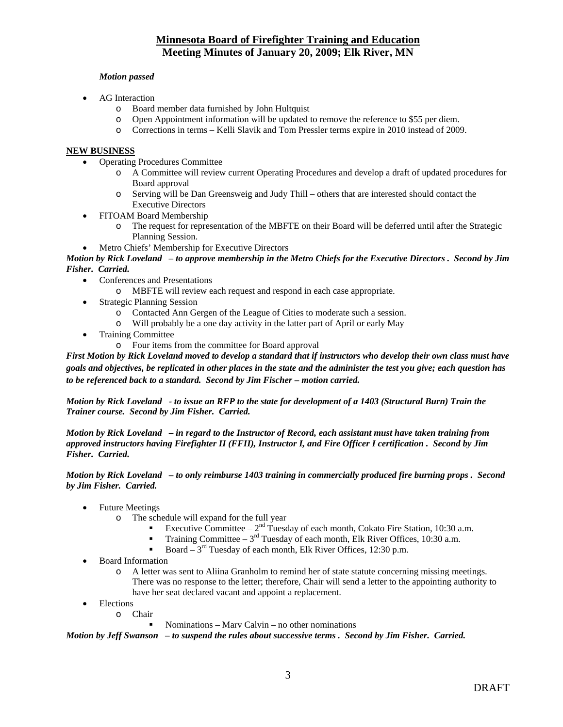### *Motion passed*

- AG Interaction
	- o Board member data furnished by John Hultquist
	- o Open Appointment information will be updated to remove the reference to \$55 per diem.
	- o Corrections in terms Kelli Slavik and Tom Pressler terms expire in 2010 instead of 2009.

### **NEW BUSINESS**

- Operating Procedures Committee
	- o A Committee will review current Operating Procedures and develop a draft of updated procedures for Board approval
	- o Serving will be Dan Greensweig and Judy Thill others that are interested should contact the Executive Directors
- FITOAM Board Membership
	- o The request for representation of the MBFTE on their Board will be deferred until after the Strategic Planning Session.
- Metro Chiefs' Membership for Executive Directors

*Motion by Rick Loveland – to approve membership in the Metro Chiefs for the Executive Directors . Second by Jim Fisher. Carried.* 

- Conferences and Presentations
	- o MBFTE will review each request and respond in each case appropriate.
- Strategic Planning Session
	-
	- o Contacted Ann Gergen of the League of Cities to moderate such a session. Will probably be a one day activity in the latter part of April or early May
- Training Committee
	- o Four items from the committee for Board approval

*First Motion by Rick Loveland moved to develop a standard that if instructors who develop their own class must have goals and objectives, be replicated in other places in the state and the administer the test you give; each question has to be referenced back to a standard. Second by Jim Fischer – motion carried.* 

*Motion by Rick Loveland - to issue an RFP to the state for development of a 1403 (Structural Burn) Train the Trainer course. Second by Jim Fisher. Carried.* 

*Motion by Rick Loveland – in regard to the Instructor of Record, each assistant must have taken training from approved instructors having Firefighter II (FFII), Instructor I, and Fire Officer I certification . Second by Jim Fisher. Carried.* 

*Motion by Rick Loveland – to only reimburse 1403 training in commercially produced fire burning props . Second by Jim Fisher. Carried.* 

- Future Meetings
	- o The schedule will expand for the full year
		- Executive Committee  $2<sup>nd</sup>$  Tuesday of each month, Cokato Fire Station, 10:30 a.m.
		- Training Committee  $3<sup>rd</sup>$  Tuesday of each month, Elk River Offices, 10:30 a.m.
		- Board  $3<sup>rd</sup>$  Tuesday of each month, Elk River Offices, 12:30 p.m.
- Board Information
	- o A letter was sent to Aliina Granholm to remind her of state statute concerning missing meetings. There was no response to the letter; therefore, Chair will send a letter to the appointing authority to have her seat declared vacant and appoint a replacement.
	- Elections
		- o Chair
			- Nominations Marv Calvin no other nominations

*Motion by Jeff Swanson – to suspend the rules about successive terms . Second by Jim Fisher. Carried.*